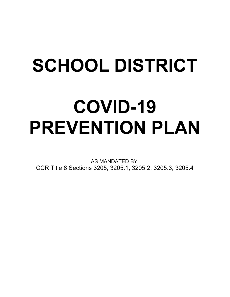# **SCHOOL DISTRICT**

# **COVID-19 PREVENTION PLAN**

AS MANDATED BY: CCR Title 8 Sections 3205, 3205.1, 3205.2, 3205.3, 3205.4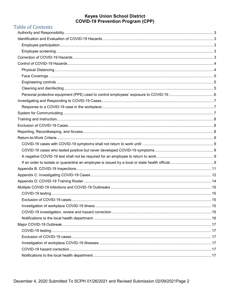# **Table of Contents**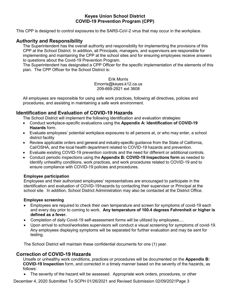This CPP is designed to control exposures to the SARS-CoV-2 virus that may occur in the workplace.

#### <span id="page-2-0"></span>**Authority and Responsibility**

The Superintendent has the overall authority and responsibility for implementing the provisions of this CPP at the School District. In addition, all Principals, managers, and supervisors are responsible for implementing and maintaining the CPP at the school sites and for ensuring employees receive answers to questions about the Covid-19 Prevention Program.

The Superintendent has designated a CPP Officer for the specific implementation of the elements of this plan. The CPP Officer for the School District is:

> Erik Morris Emorris@keyes.k12.ca.us 209-669-2921 ext 3608

All employees are responsible for using safe work practices, following all directives, policies and procedures, and assisting in maintaining a safe work environment.

#### <span id="page-2-1"></span>**Identification and Evaluation of COVID-19 Hazards**

The School District will implement the following identification and evaluation strategies:

- Conduct workplace-specific evaluations using the **Appendix A: Identification of COVID-19 Hazards** form.
- Evaluate employees' potential workplace exposures to all persons at, or who may enter, a school district facility
- Review applicable orders and general and industry-specific guidance from the State of California, Cal/OSHA, and the local health department related to COVID-19 hazards and prevention.
- Evaluate existing COVID-19 prevention controls and the need for different or additional controls.
- Conduct periodic inspections using the **Appendix B: COVID-19 Inspections form** as needed to identify unhealthy conditions, work practices, and work procedures related to COVID-19 and to ensure compliance with COVID-19 policies and procedures.

#### <span id="page-2-2"></span>**Employee participation**

Employees and their authorized employees' representatives are encouraged to participate in the identification and evaluation of COVID-19hazards by contacting their supervisor or Principal at the school site. In addition, School District Administration may also be contacted at the District Office.

#### <span id="page-2-3"></span>**Employee screening**

- Employees are required to check their own temperature and screen for symptoms of covid-19 each and every day prior to coming to work. **Any temperature of 100.4 degrees Fahrenheit or higher is defined as a fever.**
- Completion of daily Covid-19 self-assessment forms will be utilized by employees....
- Upon arrival to school/worksites supervisors will conduct a visual screening for symptoms of covid-19. Any employees displaying symptoms will be separated for further evaluation and may be sent for testing.

The School District will maintain these confidential documents for one (1) year.

#### <span id="page-2-4"></span>**Correction of COVID-19 Hazards**

Unsafe or unhealthy work conditions, practices or procedures will be documented on the **Appendix B: COVID-19 Inspection** form, and corrected in a timely manner based on the severity of the hazards, as follows:

• The severity of the hazard will be assessed. Appropriate work orders, procedures, or other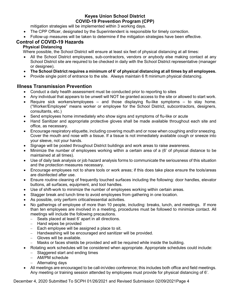mitigation strategies will be implemented within 3 working days.

- The CPP Officer, designated by the Superintendent is responsible for timely correction.
- Follow-up measures will be taken to determine if the mitigation strategies have been effective.

# <span id="page-3-1"></span><span id="page-3-0"></span>**Control of COVID-19 Hazards**

#### **Physical Distancing**

Where possible, the School District will ensure at least six feet of physical distancing at all times:

- All the School District employees, sub-contractors, vendors or anybody else making contact at any School District site are required to be checked in daily with the School District representative (manager or designee).
- **The School District requires a minimum of 6' of physical distancing at all times by all employees.**
- Provide single point of entrance to the site. Always maintain 6 ft minimum physical distancing.

# **Illness Transmission Prevention**

- Conduct a daily health assessment must be conducted prior to reporting to sites
- Any individual that appears to be unwell will NOT be granted access to the site or allowed to start work.
- Require sick workers/employees and those displaying flu-like symptoms to stay home. ("Worker/Employee" means worker or employee for the School District, subcontractors, designers, consultants, etc.)
- Send employees home immediately who show signs and symptoms of flu-like or acute
- Hand Sanitizer and appropriate protective gloves shall be made available throughout each site and office, as necessary.
- Encourage respiratory etiquette, including covering mouth and or nose when coughing and/or sneezing. Cover the mouth and nose with a tissue. If a tissue is not immediately available cough or sneeze into your sleeve, not your hands.
- Signage will be posted throughout District buildings and work areas to raise awareness.
- Minimize the number of employees working within a certain area of a (6' of physical distance to be maintained at all times).
- Use of daily task analysis or job hazard analysis forms to communicate the seriousness of this situation and the protection measures necessary.
- Encourage employees not to share tools or work areas; if this does take place ensure the tools/areas are disinfected after use.
- Ensure routine cleaning of frequently touched surfaces including the following: door handles, elevator buttons, all surfaces, equipment, and tool handles.
- Use of shift-work to minimize the number of employees working within certain areas.
- Stagger break and lunch time to avoid employees from gathering in one location.
- As possible, only perform critical/essential activities.
- No gatherings of employee of more than 10 people, including: breaks, lunch, and meetings. If more than ten employees are involved in a meeting, procedures must be followed to minimize contact. All meetings will include the following precautions.
	- − Seats placed at least 6' apart in all directions.
	- − Hand wipes be provided
	- − Each employee will be assigned a place to sit.
	- − Handwashing will be encouraged and sanitizer will be provided.
	- − Gloves will be available.
	- − Masks or faces shields be provided and will be required while inside the building.
- Rotating work schedules will be considered when appropriate. Appropriate schedules could include:
	- − Staggered start and ending times
	- − AM/PM schedule
	- − Alternating days
- All meetings are encouraged to be call-in/video conference; this includes both office and field meetings. Any meeting or training session attended by employees must provide for physical distancing of 6'.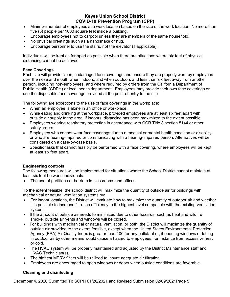- Minimize number of employees at a work location based on the size of the work location. No more than five (5) people per 1000 square feet inside a building.
- Encourage employees not to carpool unless they are members of the same household.
- No physical greetings such as a handshake or hug.
- Encourage personnel to use the stairs, not the elevator (if applicable).

Individuals will be kept as far apart as possible when there are situations where six feet of physical distancing cannot be achieved.

#### <span id="page-4-0"></span>**Face Coverings**

Each site will provide clean, undamaged face coverings and ensure they are properly worn by employees over the nose and mouth when indoors, and when outdoors and less than six feet away from another person, including non-employees, and where required by orders from the California Department of Public Health (CDPH) or local health department. Employees may provide their own face coverings or use the disposable face coverings provided at the point of entry to the site.

The following are exceptions to the use of face coverings in the workplace:

- When an employee is alone in an office or workplace.
- While eating and drinking at the workplace, provided employees are at least six feet apart with outside air supply to the area, if indoors, distancing has been maximized to the extent possible.
- Employees wearing respiratory protection in accordance with CCR Title 8 section 5144 or other safety orders.
- Employees who cannot wear face coverings due to a medical or mental health condition or disability, or who are hearing-impaired or communicating with a hearing-impaired person. Alternatives will be considered on a case-by-case basis.
- Specific tasks that cannot feasibly be performed with a face covering, where employees will be kept at least six feet apart.

#### <span id="page-4-1"></span>**Engineering controls**

The following measures will be implemented for situations where the School District cannot maintain at least six feet between individuals:

• The use of partitions or barriers in classrooms and offices.

To the extent feasible, the school district will maximize the quantity of outside air for buildings with mechanical or natural ventilation systems by:

- For indoor locations, the District will evaluate how to maximize the quantity of outdoor air and whether it is possible to increase filtration efficiency to the highest level compatible with the existing ventilation system.
- If the amount of outside air needs to minimized due to other hazards, such as heat and wildfire smoke, outside air vents and windows will be closed.
- For buildings with mechanical or natural ventilation, or both, the District will maximize the quantity of outside air provided to the extent feasible, except when the United States Environmental Protection Agency (EPA) Air Quality Index is greater than 100 for any pollutant or, if opening windows or letting in outdoor air by other means would cause a hazard to employees, for instance from excessive heat or cold.
- The HVAC system will be properly maintained and adjusted by the District Maintenance staff and HVAC Technician(s).
- The highest MERV filters will be utilized to insure adequate air filtration.
- Employees are encouraged to open windows or doors when outside conditions are favorable.

#### <span id="page-4-2"></span>**Cleaning and disinfecting**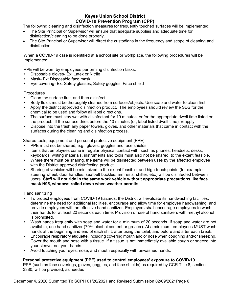The following cleaning and disinfection measures for frequently touched surfaces will be implemented:

- The Site Principal or Supervisor will ensure that adequate supplies and adequate time for disinfection/cleaning to be done properly.
- The Site Principal or Supervisor will direct the custodians in the frequency and scope of cleaning and disinfection.

When a COVID-19 case is identified at a school site or workplace, the following procedures will be implemented:

PPE will be worn by employees performing disinfection tasks.

- Disposable gloves- Ex: Latex or Nitrile
- Mask- Ex: Disposable face mask
- Eye covering- Ex: Safety glasses, Safety goggles, Face shield

#### **Procedures**

- Clean the surface first, and then disinfect.
- Body fluids must be thoroughly cleaned from surfaces/objects. Use soap and water to clean first.
- Apply the district approved disinfection product. The employees should review the SDS for the chemical to be used and follow all label directions.
- The surface must stay wet with disinfectant for 10 minutes, or for the appropriate dwell time listed on the product. If the surface dries before the 10 minutes (or, label listed dwell time), reapply.
- Dispose into the trash any paper towels, gloves, and other materials that came in contact with the surfaces during the cleaning and disinfection process.

Shared tools, equipment and personal protective equipment (PPE)

- PPE must not be shared, e.g., gloves, goggles and face shields.
- Items that employees come in regular physical contact with, such as phones, headsets, desks, keyboards, writing materials, instruments and tools must also not be shared, to the extent feasible.
- Where there must be sharing, the items will be disinfected between uses by the affected employee with the District approved disinfecting product.
- Sharing of vehicles will be minimized to the extent feasible, and high-touch points (for example, steering wheel, door handles, seatbelt buckles, armrests, shifter, etc.) will be disinfected between users. **Staff will not ride in the same work vehicle without appropriate precautions like face mask N95, windows rolled down when weather permits.**

Hand sanitizing

- To protect employees from COVID-19 hazards, the District will evaluate its handwashing facilities, determine the need for additional facilities, encourage and allow time for employee handwashing, and provide employees with an effective hand sanitizer. Employers shall encourage employees to wash their hands for at least 20 seconds each time. Provision or use of hand sanitizers with methyl alcohol is prohibited.
- Wash hands frequently with soap and water for a minimum of 20 seconds. If soap and water are not available, use hand sanitizer (70% alcohol content or greater). At a minimum, employees MUST wash hands at the beginning and end of each shift, after using the toilet, and before and after each break.
- Encourage respiratory etiquette, including covering mouth and or nose when coughing and/or sneezing. Cover the mouth and nose with a tissue. If a tissue is not immediately available cough or sneeze into your sleeve, not your hands.
- Avoid touching your eyes, nose, and mouth especially with unwashed hands.

#### <span id="page-5-0"></span>**Personal protective equipment (PPE) used to control employees' exposure to COVID-19**

PPE (such as face coverings, gloves, goggles, and face shields) as required by CCR Title 8, section 3380, will be provided, as needed.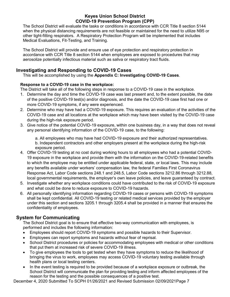The School District will evaluate the tasks or conditions in accordance with CCR Title 8 section 5144 when the physical distancing requirements are not feasible or maintained for the need to utilize N95 or other tight-fitting respirators. A Respiratory Protection Program will be implemented that includes Medical Evaluations, Fit-Testing, and Training.

The School District will provide and ensure use of eye protection and respiratory protection in accordance with CCR Title 8 section 5144 when employees are exposed to procedures that may aerosolize potentially infectious material such as saliva or respiratory tract fluids.

### <span id="page-6-0"></span>**Investigating and Responding to COVID-19 Cases**

This will be accomplished by using the **Appendix C: Investigating COVID-19 Cases**.

#### <span id="page-6-1"></span>**Response to a COVID-19 case in the workplace:**

The District will take all of the following steps in response to a COVID-19 case in the workplace.

- 1. Determine the day and time the COVID-19 case was last present and, to the extent possible, the date of the positive COVID-19 test(s) and/or diagnosis, and the date the COVID-19 case first had one or more COVID-19 symptoms, if any were experienced.
- 2. Determine who may have had a COVID-19 exposure. This requires an evaluation of the activities of the COVID-19 case and all locations at the workplace which may have been visited by the COVID-19 case during the high-risk exposure period.
- 3. Give notice of the potential COVID-19 exposure, within one business day, in a way that does not reveal any personal identifying information of the COVID-19 case, to the following:

a. All employees who may have had COVID-19 exposure and their authorized representatives. b. Independent contractors and other employers present at the workplace during the high-risk exposure period.

- 4. Offer COVID-19 testing at no cost during working hours to all employees who had a potential COVID-19 exposure in the workplace and provide them with the information on the COVID-19-related benefits to which the employee may be entitled under applicable federal, state, or local laws. This may include any benefits available under workers' compensation law, the federal Families First Coronavirus Response Act, Labor Code sections 248.1 and 248.5, Labor Code sections 3212.86 through 3212.88, local governmental requirements, the employer's own leave policies, and leave guaranteed by contract.
- 5. Investigate whether any workplace conditions could have contributed to the risk of COVID-19 exposure and what could be done to reduce exposure to COVID-19 hazards.
- 6. All personally identifying information regarding COVID-19 cases or persons with COVID-19 symptoms shall be kept confidential. All COVID-19 testing or related medical services provided by the employer under this section and sections 3205.1 through 3205.4 shall be provided in a manner that ensures the confidentiality of employees.

#### <span id="page-6-2"></span>**System for Communicating**

The School District goal is to ensure that effective two-way communication with employees, is performed and includes the following information:

- Employees should report COVID-19 symptoms and possible hazards to their Supervisor.
- Employees can report symptoms and hazards without fear of reprisal.
- School District procedures or policies for accommodating employees with medical or other conditions that put them at increased risk of severe COVID-19 illness.
- To give employees the tools to get tested when they have symptoms to reduce the likelihood of bringing the virus to work, employees may access COVID-19 voluntary testing available through health plans or local testing centers.
- In the event testing is required to be provided because of a workplace exposure or outbreak, the School District will communicate the plan for providing testing and inform affected employees of the reason for the testing and the possible consequences of a positive test.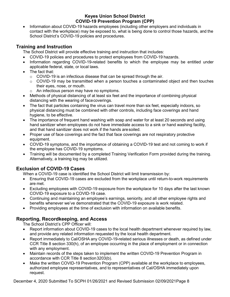• Information about COVID-19 hazards employees (including other employers and individuals in contact with the workplace) may be exposed to, what is being done to control those hazards, and the School District's COVID-19 policies and procedures.

# <span id="page-7-0"></span>**Training and Instruction**

The School District will provide effective training and instruction that includes:

- COVID-19 policies and procedures to protect employees from COVID-19 hazards.
- Information regarding COVID-19-related benefits to which the employee may be entitled under applicable federal, state, or local laws.
- The fact that:
	- $\circ$  COVID-19 is an infectious disease that can be spread through the air.
	- $\circ$  COVID-19 may be transmitted when a person touches a contaminated object and then touches their eyes, nose, or mouth.
	- o An infectious person may have no symptoms.
- Methods of physical distancing of at least six feet and the importance of combining physical distancing with the wearing of facecoverings.
- The fact that particles containing the virus can travel more than six feet, especially indoors, so physical distancing must be combined with other controls, including face coverings and hand hygiene, to be effective.
- The importance of frequent hand washing with soap and water for at least 20 seconds and using hand sanitizer when employees do not have immediate access to a sink or hand washing facility, and that hand sanitizer does not work if the hands aresoiled.
- Proper use of face coverings and the fact that face coverings are not respiratory protective equipment.
- COVID-19 symptoms, and the importance of obtaining a COVID-19 test and not coming to work if the employee has COVID-19 symptoms.
- Training will be documented by a completed Training Verification Form provided during the training. Alternatively, a training log may be utilized.

# <span id="page-7-1"></span>**Exclusion of COVID-19 Cases**

When a COVID-19 case is identified the School District will limit transmission by:

- Ensuring that COVID-19 cases are excluded from the workplace until return-to-work requirements are met.
- Excluding employees with COVID-19 exposure from the workplace for 10 days after the last known COVID-19 exposure to a COVID-19 case.
- Continuing and maintaining an employee's earnings, seniority, and all other employee rights and benefits whenever we've demonstrated that the COVID-19 exposure is work related.
- Providing employees at the time of exclusion with information on available benefits.

# <span id="page-7-2"></span>**Reporting, Recordkeeping, and Access**

The School District's CPP Officer will:

- Report information about COVID-19 cases to the local health department whenever required by law, and provide any related information requested by the local health department.
- Report immediately to Cal/OSHA any COVID-19-related serious illnesses or death, as defined under CCR Title 8 section 330(h), of an employee occurring in the place of employment or in connection with any employment.
- Maintain records of the steps taken to implement the written COVID-19 Prevention Program in accordance with CCR Title 8 section3203(b).
- Make the written COVID-19 Prevention Program (CPP) available at the workplace to employees, authorized employee representatives, and to representatives of Cal/OSHA immediately upon request.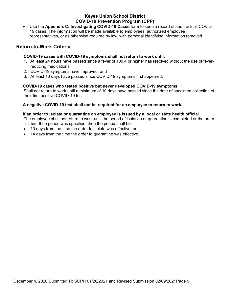• Use the **Appendix C: Investigating COVID-19 Cases** form to keep a record of and track all COVID-19 cases. The information will be made available to employees, authorized employee representatives, or as otherwise required by law, with personal identifying information removed.

#### <span id="page-8-1"></span><span id="page-8-0"></span>**Return-to-Work Criteria**

#### **COVID-19 cases with COVID-19 symptoms shall not return to work until:**

- 1. At least 24 hours have passed since a fever of 100.4 or higher has resolved without the use of feverreducing medications;
- 2. COVID-19 symptoms have improved; and
- 3. At least 10 days have passed since COVID-19 symptoms first appeared.

#### <span id="page-8-2"></span>**COVID-19 cases who tested positive but never developed COVID-19 symptoms**

Shall not return to work until a minimum of 10 days have passed since the date of specimen collection of their first positive COVID-19 test.

#### <span id="page-8-4"></span><span id="page-8-3"></span>**A negative COVID-19 test shall not be required for an employee to return to work.**

#### **If an order to isolate or quarantine an employee is issued by a local or state health official**

The employee shall not return to work until the period of isolation or quarantine is completed or the order is lifted. If no period was specified, then the period shall be:

- 10 days from the time the order to isolate was effective, or
- 14 days from the time the order to quarantine was effective.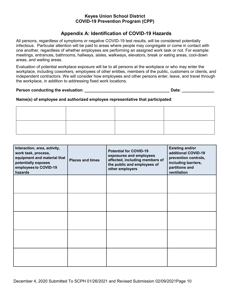# **Appendix A: Identification of COVID-19 Hazards**

All persons, regardless of symptoms or negative COVID-19 test results, will be considered potentially infectious. Particular attention will be paid to areas where people may congregate or come in contact with one another, regardless of whether employees are performing an assigned work task or not. For example: meetings, entrances, bathrooms, hallways, aisles, walkways, elevators, break or eating areas, cool-down areas, and waiting areas.

Evaluation of potential workplace exposure will be to all persons at the workplace or who may enter the workplace, including coworkers, employees of other entities, members of the public, customers or clients, and independent contractors. We will consider how employees and other persons enter, leave, and travel through the workplace, in addition to addressing fixed work locations.

**Person conducting the evaluation**: **\_\_\_\_\_\_\_\_\_\_\_\_\_\_\_\_\_\_\_\_\_\_\_\_\_\_\_\_\_\_\_\_\_\_\_\_\_ Date**: **\_\_\_\_\_\_\_\_\_\_\_\_\_\_**

#### **Name(s) of employee and authorized employee representative that participated**:

| Interaction, area, activity,<br>work task, process,<br>equipment and material that<br>potentially exposes<br>employees to COVID-19<br>hazards | <b>Places and times</b> | <b>Potential for COVID-19</b><br>exposures and employees<br>affected, including members of<br>the public and employees of<br>other employers | <b>Existing and/or</b><br>additional COVID-19<br>prevention controls,<br>including barriers,<br>partitions and<br>ventilation |
|-----------------------------------------------------------------------------------------------------------------------------------------------|-------------------------|----------------------------------------------------------------------------------------------------------------------------------------------|-------------------------------------------------------------------------------------------------------------------------------|
|                                                                                                                                               |                         |                                                                                                                                              |                                                                                                                               |
|                                                                                                                                               |                         |                                                                                                                                              |                                                                                                                               |
|                                                                                                                                               |                         |                                                                                                                                              |                                                                                                                               |
|                                                                                                                                               |                         |                                                                                                                                              |                                                                                                                               |
|                                                                                                                                               |                         |                                                                                                                                              |                                                                                                                               |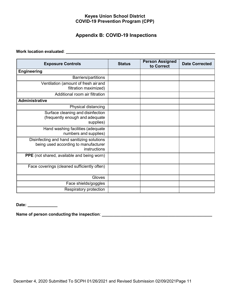### **Appendix B: COVID-19 Inspections**

<span id="page-10-0"></span>**Work location evaluated**: **\_\_\_\_\_\_\_\_\_\_\_\_\_\_\_\_\_\_\_\_\_\_\_\_\_\_\_\_\_\_\_\_\_\_\_\_\_\_\_\_\_\_\_\_\_\_\_\_\_\_\_\_\_\_\_\_\_\_\_\_\_\_\_\_\_**

| <b>Exposure Controls</b>                                                                           | <b>Status</b> | <b>Person Assigned</b><br>to Correct | <b>Date Corrected</b> |
|----------------------------------------------------------------------------------------------------|---------------|--------------------------------------|-----------------------|
| <b>Engineering</b>                                                                                 |               |                                      |                       |
| Barriers/partitions                                                                                |               |                                      |                       |
| Ventilation (amount of fresh air and<br>filtration maximized)                                      |               |                                      |                       |
| Additional room air filtration                                                                     |               |                                      |                       |
| Administrative                                                                                     |               |                                      |                       |
| Physical distancing                                                                                |               |                                      |                       |
| Surface cleaning and disinfection<br>(frequently enough and adequate<br>supplies)                  |               |                                      |                       |
| Hand washing facilities (adequate<br>numbers and supplies)                                         |               |                                      |                       |
| Disinfecting and hand sanitizing solutions<br>being used according to manufacturer<br>instructions |               |                                      |                       |
| PPE (not shared, available and being worn)                                                         |               |                                      |                       |
| Face coverings (cleaned sufficiently often)                                                        |               |                                      |                       |
| Gloves                                                                                             |               |                                      |                       |
| Face shields/goggles                                                                               |               |                                      |                       |
| Respiratory protection                                                                             |               |                                      |                       |

**Date: \_\_\_\_\_\_\_\_\_\_\_\_\_**

**Name of person conducting the inspection**: **\_\_\_\_\_\_\_\_\_\_\_\_\_\_\_\_\_\_\_\_\_\_\_\_\_\_\_\_\_\_\_\_\_\_\_\_\_\_\_\_\_\_\_\_\_\_\_\_**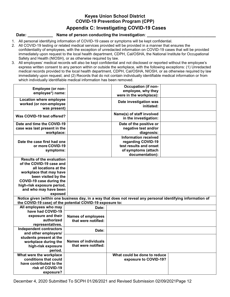# **Appendix C: Investigating COVID-19 Cases**

#### <span id="page-11-0"></span>**Date: \_\_\_\_\_\_\_\_\_\_\_ Name of person conducting the investigation**: **\_\_\_\_\_\_\_\_\_\_\_\_\_\_\_\_\_\_\_\_\_\_\_\_\_\_\_\_\_\_**

- 1. All personal identifying information of COVID-19 cases or symptoms will be kept confidential.
- 2. All COVID-19 testing or related medical services provided will be provided in a manner that ensures the confidentiality of employees, with the exception of unredacted information on COVID-19 cases that will be provided immediately upon request to the local health department, CDPH, Cal/OSHA, the National Institute for Occupational Safety and Health (NIOSH), or as otherwise required by law.
- 3. All employees' medical records will also be kept confidential and not disclosed or reported without the employee's express written consent to any person within or outside the workplace, with the following exceptions: (1) Unredacted medical records provided to the local health department, CDPH, Cal/OSHA, NIOSH, or as otherwise required by law immediately upon request; and (2) Records that do not contain individually identifiable medical information or from which individually identifiable medical information has been removed.

| <b>Employee (or non-</b><br>employee*) name:                                                                    |                                                    | <b>Occupation (if non-</b><br>employee, why they<br>were in the workplace):                                           |  |
|-----------------------------------------------------------------------------------------------------------------|----------------------------------------------------|-----------------------------------------------------------------------------------------------------------------------|--|
| <b>Location where employee</b><br>worked (or non-employee<br>was present)                                       |                                                    | Date investigation was<br>initiated:                                                                                  |  |
| Was COVID-19 test offered?                                                                                      |                                                    | Name(s) of staff involved<br>in the investigation:                                                                    |  |
| Date and time the COVID-19<br>case was last present in the<br>workplace:                                        |                                                    | Date of the positive or<br>negative test and/or<br>diagnosis:                                                         |  |
| Date the case first had one<br>or more COVID-19<br>symptoms:                                                    |                                                    | <b>Information received</b><br>regarding COVID-19<br>test results and onset<br>of symptoms (attach<br>documentation): |  |
| <b>Results of the evaluation</b><br>of the COVID-19 case and<br>all locations at the<br>workplace that may have |                                                    |                                                                                                                       |  |
| been visited by the<br>COVID-19 case during the<br>high-risk exposure period,                                   |                                                    |                                                                                                                       |  |
| and who may have been<br>exposed                                                                                |                                                    |                                                                                                                       |  |
| the COVID-19 case) of the potential COVID-19 exposure to:                                                       |                                                    | Notice given (within one business day, in a way that does not reveal any personal identifying information of          |  |
| All employees who may<br>have had COVID-19                                                                      | Date:                                              |                                                                                                                       |  |
| exposure and their<br>authorized<br>representatives.                                                            | <b>Names of employees</b><br>that were notified:   |                                                                                                                       |  |
| <b>Independent contractors</b><br>and other employers/                                                          | Date:                                              |                                                                                                                       |  |
| students present at the<br>workplace during the<br>high-risk exposure<br>period.                                | <b>Names of individuals</b><br>that were notified: |                                                                                                                       |  |
| What were the workplace<br>conditions that could<br>have contributed to the<br>risk of COVID-19<br>exposure?    |                                                    | What could be done to reduce<br>exposure to COVID-19?                                                                 |  |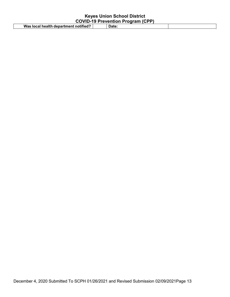| <b>Keyes Union School District</b>       |  |       |  |
|------------------------------------------|--|-------|--|
| <b>COVID-19 Prevention Program (CPP)</b> |  |       |  |
| Was local health department notified?    |  | Date: |  |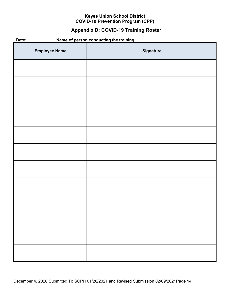# **Appendix D: COVID**-**19 Training Roster**

<span id="page-13-0"></span>

| Name of person conducting the training:<br>Date: |           |  |
|--------------------------------------------------|-----------|--|
| <b>Employee Name</b>                             | Signature |  |
|                                                  |           |  |
|                                                  |           |  |
|                                                  |           |  |
|                                                  |           |  |
|                                                  |           |  |
|                                                  |           |  |
|                                                  |           |  |
|                                                  |           |  |
|                                                  |           |  |
|                                                  |           |  |
|                                                  |           |  |
|                                                  |           |  |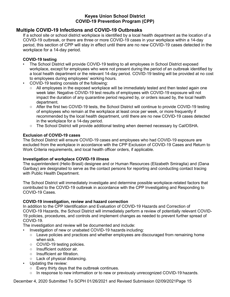#### <span id="page-14-0"></span>**Multiple COVID-19 Infections and COVID-19 Outbreaks**

If a school site or school district workplace is identified by a local health department as the location of a COVID-19 outbreak, or there are three or more COVID-19 cases in your workplace within a 14-day period, this section of CPP will stay in effect until there are no new COVID-19 cases detected in the workplace for a 14-day period.

#### <span id="page-14-1"></span>**COVID-19 testing**

- The School District will provide COVID-19 testing to all employees in School District exposed workplace, except for employees who were not present during the period of an outbreak identified by a local health department or the relevant 14-day period. COVID-19 testing will be provided at no cost to employees during employees' working hours.
- COVID-19 testing consists of the following:
	- $\circ$  All employees in the exposed workplace will be immediately tested and then tested again one week later. Negative COVID-19 test results of employees with COVID-19 exposure will not impact the duration of any quarantine period required by, or orders issued by, the local health department.
	- After the first two COVID-19 tests, the School District will continue to provide COVID-19 testing of employees who remain at the workplace at least once per week, or more frequently if recommended by the local health department, until there are no new COVID-19 cases detected in the workplace for a 14-day period.
	- The School District will provide additional testing when deemed necessary by Cal/OSHA.

#### <span id="page-14-2"></span>**Exclusion of COVID-19 cases**

The School District will ensure COVID-19 cases and employees who had COVID-19 exposure are excluded from the workplace in accordance with the CPP Exclusion of COVID-19 Cases and Return to Work Criteria requirements, and local health officer orders, if applicable.

#### <span id="page-14-3"></span>**Investigation of workplace COVID-19 illness**

The superintendent (Helio Brasil) designee and or Human Resources (Elizabeth Smiraglia) and (Dana Garibay) are designated to serve as the contact persons for reporting and conducting contact tracing with Public Health Department.

The School District will immediately investigate and determine possible workplace-related factors that contributed to the COVID-19 outbreak in accordance with the CPP Investigating and Responding to COVID-19 Cases.

#### <span id="page-14-4"></span>**COVID-19 investigation, review and hazard correction**

In addition to the CPP Identification and Evaluation of COVID-19 Hazards and Correction of COVID-19 Hazards, the School District will immediately perform a review of potentially relevant COVID-19 policies, procedures, and controls and implement changes as needed to prevent further spread of COVID-19.

The investigation and review will be documented and include:

- Investigation of new or unabated COVID-19 hazards including:
	- Leave policies and practices and whether employees are discouraged from remaining home when sick.
	- COVID-19 testing policies.
	- Insufficient outdoor air.
	- Insufficient air filtration.
	- Lack of physical distancing.
- Updating the review:
	- Every thirty days that the outbreak continues.
	- In response to new information or to new or previously unrecognized COVID-19 hazards.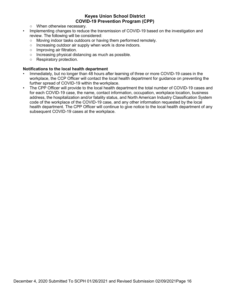- When otherwise necessary.
- Implementing changes to reduce the transmission of COVID-19 based on the investigation and review. The following will be considered:
	- Moving indoor tasks outdoors or having them performed remotely.
	- Increasing outdoor air supply when work is done indoors.
	- Improving air filtration.
	- Increasing physical distancing as much as possible.
	- Respiratory protection.

#### <span id="page-15-0"></span>**Notifications to the local health department**

- Immediately, but no longer than 48 hours after learning of three or more COVID-19 cases in the workplace, the CCP Officer will contact the local health department for guidance on preventing the further spread of COVID-19 within the workplace.
- The CPP Officer will provide to the local health department the total number of COVID-19 cases and for each COVID-19 case, the name, contact information, occupation, workplace location, business address, the hospitalization and/or fatality status, and North American Industry Classification System code of the workplace of the COVID-19 case, and any other information requested by the local health department. The CPP Officer will continue to give notice to the local health department of any subsequent COVID-19 cases at the workplace.